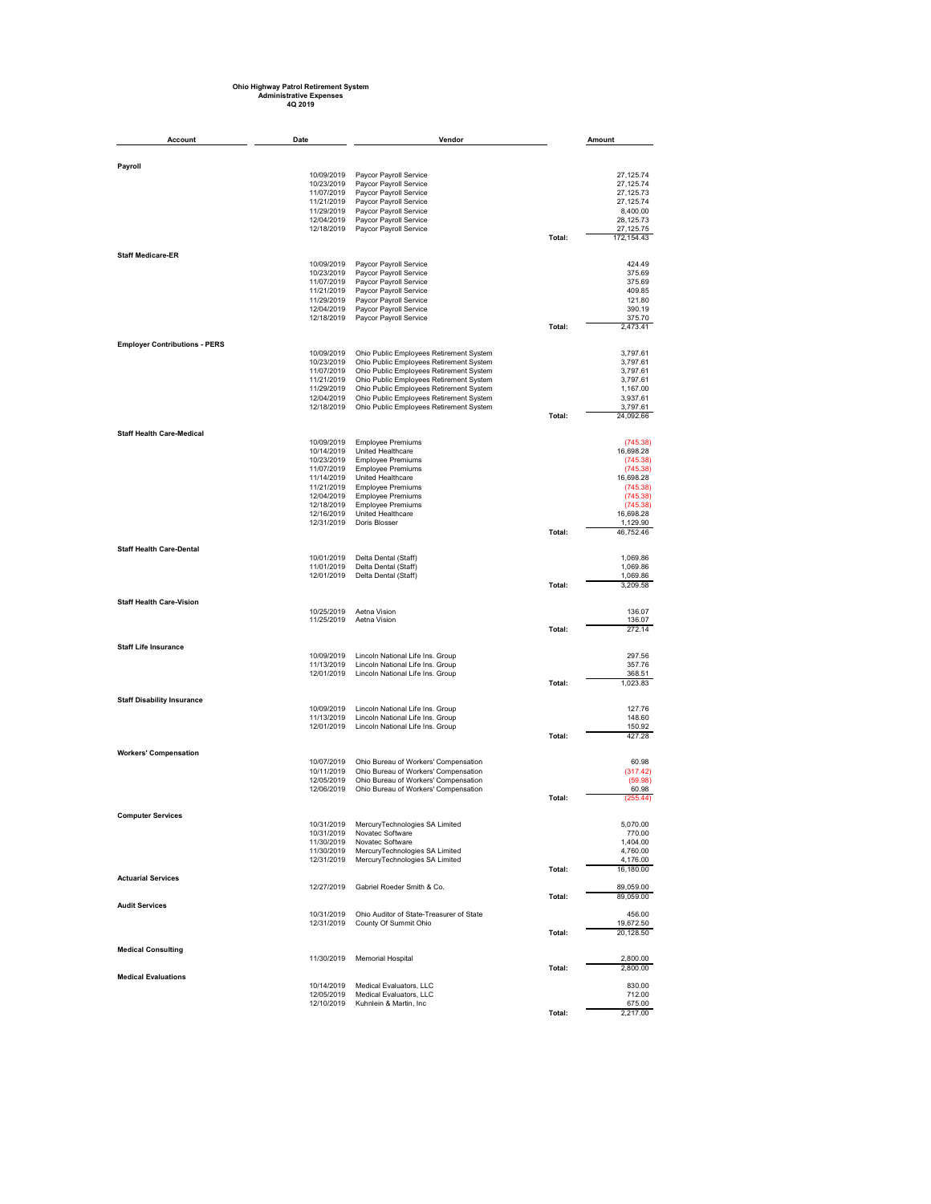## **Ohio Highway Patrol Retirement System Administrative Expenses 4Q 2019**

| Account<br>Date                      |                          | Vendor                                                                             |        | Amount                  |
|--------------------------------------|--------------------------|------------------------------------------------------------------------------------|--------|-------------------------|
|                                      |                          |                                                                                    |        |                         |
| Payroll                              |                          |                                                                                    |        |                         |
|                                      | 10/09/2019               | Paycor Payroll Service<br>Paycor Payroll Service                                   |        | 27,125.74<br>27.125.74  |
|                                      | 10/23/2019<br>11/07/2019 | Paycor Payroll Service                                                             |        | 27, 125.73              |
|                                      | 11/21/2019               | Paycor Payroll Service                                                             |        | 27, 125.74              |
|                                      | 11/29/2019               | Paycor Payroll Service                                                             |        | 8,400.00                |
|                                      | 12/04/2019<br>12/18/2019 | Paycor Payroll Service                                                             |        | 28,125.73<br>27, 125.75 |
|                                      |                          | Paycor Payroll Service                                                             | Total: | 172,154.43              |
| <b>Staff Medicare-ER</b>             |                          |                                                                                    |        |                         |
|                                      | 10/09/2019               | Paycor Payroll Service                                                             |        | 424.49                  |
|                                      | 10/23/2019<br>11/07/2019 | Paycor Payroll Service<br>Paycor Payroll Service                                   |        | 375.69<br>375.69        |
|                                      | 11/21/2019               | Paycor Payroll Service                                                             |        | 409.85                  |
|                                      | 11/29/2019               | Paycor Payroll Service                                                             |        | 121.80                  |
|                                      | 12/04/2019<br>12/18/2019 | Paycor Payroll Service<br>Paycor Payroll Service                                   |        | 390.19<br>375.70        |
|                                      |                          |                                                                                    | Total: | 2,473.41                |
| <b>Employer Contributions - PERS</b> |                          |                                                                                    |        |                         |
|                                      | 10/09/2019               | Ohio Public Employees Retirement System                                            |        | 3,797.61                |
|                                      | 10/23/2019<br>11/07/2019 | Ohio Public Employees Retirement System<br>Ohio Public Employees Retirement System |        | 3,797.61<br>3,797.61    |
|                                      | 11/21/2019               | Ohio Public Employees Retirement System                                            |        | 3,797.61                |
|                                      | 11/29/2019               | Ohio Public Employees Retirement System                                            |        | 1,167.00                |
|                                      | 12/04/2019<br>12/18/2019 | Ohio Public Employees Retirement System                                            |        | 3,937.61<br>3,797.61    |
|                                      |                          | Ohio Public Employees Retirement System                                            | Total: | 24,092.66               |
| <b>Staff Health Care-Medical</b>     |                          |                                                                                    |        |                         |
|                                      | 10/09/2019               | <b>Employee Premiums</b>                                                           |        | (745.38)                |
|                                      | 10/14/2019<br>10/23/2019 | United Healthcare<br><b>Employee Premiums</b>                                      |        | 16,698.28<br>(745.38)   |
|                                      | 11/07/2019               | <b>Employee Premiums</b>                                                           |        | (745.38)                |
|                                      | 11/14/2019               | United Healthcare                                                                  |        | 16,698.28               |
|                                      | 11/21/2019<br>12/04/2019 | <b>Employee Premiums</b><br><b>Employee Premiums</b>                               |        | (745.38)                |
|                                      | 12/18/2019               | <b>Employee Premiums</b>                                                           |        | (745.38)<br>(745.38)    |
|                                      | 12/16/2019               | United Healthcare                                                                  |        | 16,698.28               |
|                                      | 12/31/2019               | Doris Blosser                                                                      | Total: | 1,129.90<br>46,752.46   |
|                                      |                          |                                                                                    |        |                         |
| <b>Staff Health Care-Dental</b>      | 10/01/2019               | Delta Dental (Staff)                                                               |        | 1,069.86                |
|                                      | 11/01/2019               | Delta Dental (Staff)                                                               |        | 1,069.86                |
|                                      | 12/01/2019               | Delta Dental (Staff)                                                               |        | 1,069.86                |
|                                      |                          |                                                                                    | Total: | 3,209.58                |
| <b>Staff Health Care-Vision</b>      |                          |                                                                                    |        |                         |
|                                      | 10/25/2019<br>11/25/2019 | Aetna Vision<br>Aetna Vision                                                       |        | 136.07<br>136.07        |
|                                      |                          |                                                                                    | Total: | 272.14                  |
| <b>Staff Life Insurance</b>          |                          |                                                                                    |        |                         |
|                                      | 10/09/2019               | Lincoln National Life Ins. Group                                                   |        | 297.56                  |
|                                      | 11/13/2019               | Lincoln National Life Ins. Group                                                   |        | 357.76                  |
|                                      | 12/01/2019               | Lincoln National Life Ins. Group                                                   | Total: | 368.51<br>1,023.83      |
|                                      |                          |                                                                                    |        |                         |
| <b>Staff Disability Insurance</b>    | 10/09/2019               | Lincoln National Life Ins. Group                                                   |        | 127.76                  |
|                                      | 11/13/2019               | Lincoln National Life Ins. Group                                                   |        | 148.60                  |
|                                      | 12/01/2019               | Lincoln National Life Ins. Group                                                   | Total: | 150.92<br>427.28        |
|                                      |                          |                                                                                    |        |                         |
| <b>Workers' Compensation</b>         | 10/07/2019               | Ohio Bureau of Workers' Compensation                                               |        | 60.98                   |
|                                      | 10/11/2019               | Ohio Bureau of Workers' Compensation                                               |        | (317.42)                |
|                                      | 12/05/2019               | Ohio Bureau of Workers' Compensation                                               |        | (59.98)                 |
|                                      | 12/06/2019               | Ohio Bureau of Workers' Compensation                                               | Total: | 60.98<br>(255.44)       |
|                                      |                          |                                                                                    |        |                         |
| <b>Computer Services</b>             | 10/31/2019               | MercuryTechnologies SA Limited                                                     |        | 5,070.00                |
|                                      | 10/31/2019               | Novatec Software                                                                   |        | 770.00                  |
|                                      | 11/30/2019               | 11/30/2019 Novatec Software<br>MercuryTechnologies SA Limited                      |        | 1,404.00<br>4,760.00    |
|                                      |                          | 12/31/2019 MercuryTechnologies SA Limited                                          |        | 4,176.00                |
| <b>Actuarial Services</b>            |                          |                                                                                    | Total: | 16,180.00               |
|                                      | 12/27/2019               | Gabriel Roeder Smith & Co.                                                         |        | 89,059.00               |
|                                      |                          |                                                                                    | Total: | 89,059.00               |
| <b>Audit Services</b>                | 10/31/2019               | Ohio Auditor of State-Treasurer of State                                           |        | 456.00                  |
|                                      | 12/31/2019               | County Of Summit Ohio                                                              |        | 19,672.50               |
|                                      |                          |                                                                                    | Total: | 20,128.50               |
| <b>Medical Consulting</b>            |                          |                                                                                    |        |                         |
|                                      | 11/30/2019               | <b>Memorial Hospital</b>                                                           |        | 2,800.00                |
| <b>Medical Evaluations</b>           |                          |                                                                                    | Total: | 2,800.00                |
|                                      | 10/14/2019               | Medical Evaluators, LLC                                                            |        | 830.00                  |
|                                      | 12/05/2019               | Medical Evaluators, LLC                                                            |        | 712.00                  |
|                                      | 12/10/2019               | Kuhnlein & Martin, Inc.                                                            | Total: | 675.00<br>2,217.00      |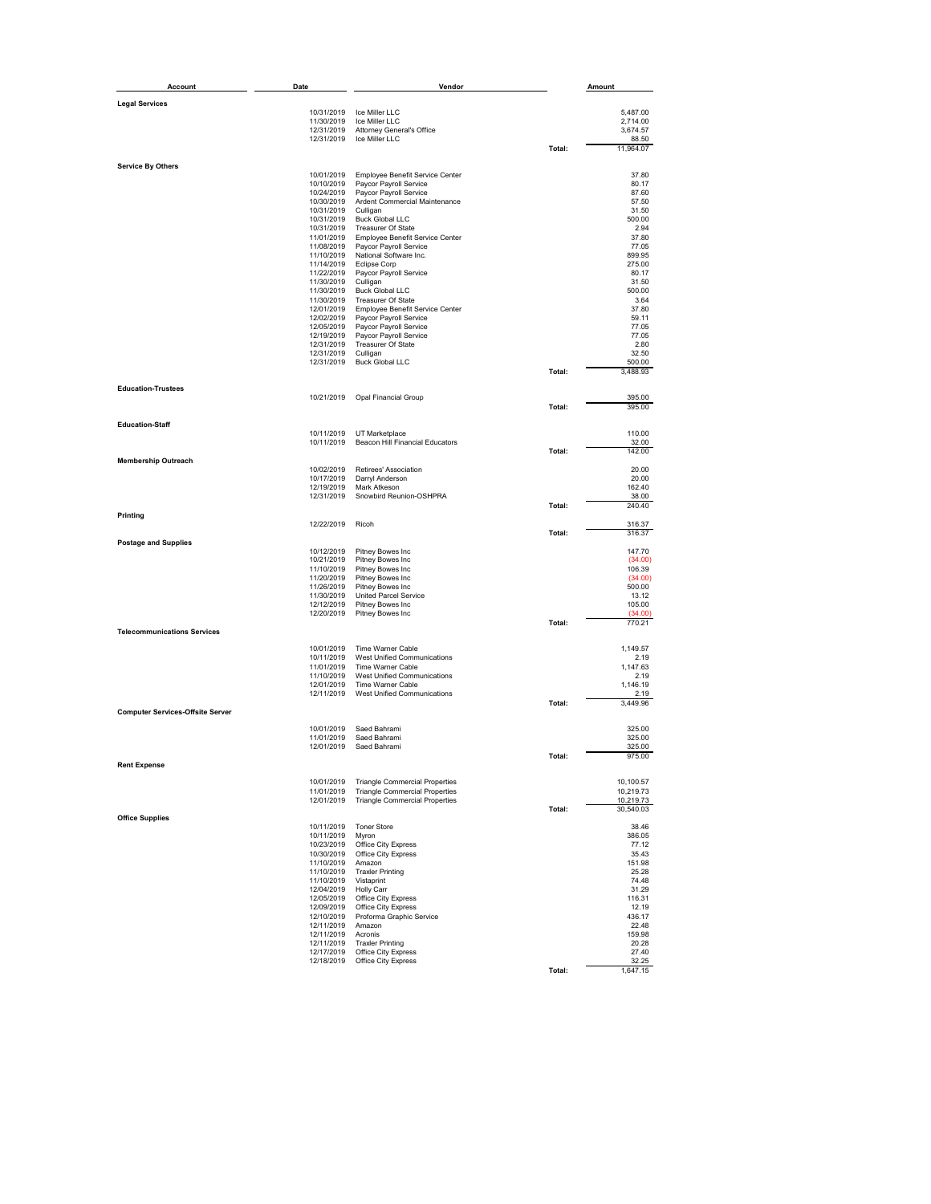| <b>Account</b>                          | Date                     | Vendor                                                                         |        | Amount                 |
|-----------------------------------------|--------------------------|--------------------------------------------------------------------------------|--------|------------------------|
|                                         |                          |                                                                                |        |                        |
| <b>Legal Services</b>                   | 10/31/2019               | Ice Miller LLC                                                                 |        | 5,487.00               |
|                                         | 11/30/2019               | Ice Miller LLC                                                                 |        | 2,714.00               |
|                                         | 12/31/2019               | <b>Attorney General's Office</b>                                               |        | 3,674.57               |
|                                         | 12/31/2019               | Ice Miller LLC                                                                 | Total: | 88.50<br>11,964.07     |
|                                         |                          |                                                                                |        |                        |
| <b>Service By Others</b>                | 10/01/2019               | Employee Benefit Service Center                                                |        | 37.80                  |
|                                         | 10/10/2019               | Paycor Payroll Service                                                         |        | 80.17                  |
|                                         | 10/24/2019<br>10/30/2019 | Paycor Payroll Service<br>Ardent Commercial Maintenance                        |        | 87.60<br>57.50         |
|                                         | 10/31/2019               | Culligan                                                                       |        | 31.50                  |
|                                         | 10/31/2019               | <b>Buck Global LLC</b>                                                         |        | 500.00                 |
|                                         | 10/31/2019               | Treasurer Of State                                                             |        | 2.94                   |
|                                         | 11/01/2019<br>11/08/2019 | Employee Benefit Service Center<br>Paycor Payroll Service                      |        | 37.80<br>77.05         |
|                                         | 11/10/2019               | National Software Inc.                                                         |        | 899.95                 |
|                                         | 11/14/2019               | Eclipse Corp                                                                   |        | 275.00                 |
|                                         | 11/22/2019<br>11/30/2019 | Paycor Payroll Service<br>Culligan                                             |        | 80.17<br>31.50         |
|                                         | 11/30/2019               | <b>Buck Global LLC</b>                                                         |        | 500.00                 |
|                                         | 11/30/2019               | <b>Treasurer Of State</b>                                                      |        | 3.64                   |
|                                         | 12/01/2019               | Employee Benefit Service Center                                                |        | 37.80                  |
|                                         | 12/02/2019<br>12/05/2019 | Paycor Payroll Service<br>Paycor Payroll Service                               |        | 59.11<br>77.05         |
|                                         | 12/19/2019               | Paycor Payroll Service                                                         |        | 77.05                  |
|                                         | 12/31/2019               | <b>Treasurer Of State</b>                                                      |        | 2.80                   |
|                                         | 12/31/2019               | Culligan                                                                       |        | 32.50                  |
|                                         | 12/31/2019               | <b>Buck Global LLC</b>                                                         | Total: | 500.00<br>3,488.93     |
|                                         |                          |                                                                                |        |                        |
| <b>Education-Trustees</b>               | 10/21/2019               | <b>Opal Financial Group</b>                                                    |        | 395.00                 |
|                                         |                          |                                                                                | Total: | 395.00                 |
| <b>Education-Staff</b>                  |                          |                                                                                |        |                        |
|                                         | 10/11/2019               | UT Marketplace                                                                 |        | 110.00                 |
|                                         | 10/11/2019               | Beacon Hill Financial Educators                                                |        | 32.00                  |
| <b>Membership Outreach</b>              |                          |                                                                                | Total: | 142.00                 |
|                                         | 10/02/2019               | Retirees' Association                                                          |        | 20.00                  |
|                                         | 10/17/2019               | Darryl Anderson                                                                |        | 20.00                  |
|                                         | 12/19/2019               | Mark Atkeson                                                                   |        | 162.40                 |
|                                         | 12/31/2019               | Snowbird Reunion-OSHPRA                                                        | Total: | 38.00<br>240.40        |
| Printing                                |                          |                                                                                |        |                        |
|                                         | 12/22/2019               | Ricoh                                                                          | Total: | 316.37<br>316.37       |
| <b>Postage and Supplies</b>             |                          |                                                                                |        |                        |
|                                         | 10/12/2019               | Pitney Bowes Inc                                                               |        | 147.70                 |
|                                         | 10/21/2019<br>11/10/2019 | Pitney Bowes Inc<br>Pitney Bowes Inc                                           |        | (34.00)<br>106.39      |
|                                         | 11/20/2019               | Pitney Bowes Inc                                                               |        | (34.00)                |
|                                         | 11/26/2019               | Pitney Bowes Inc                                                               |        | 500.00                 |
|                                         | 11/30/2019               | <b>United Parcel Service</b>                                                   |        | 13.12                  |
|                                         | 12/12/2019               | Pitney Bowes Inc                                                               |        | 105.00                 |
|                                         | 12/20/2019               | Pitney Bowes Inc                                                               | Total: | (34.00)<br>770.21      |
| <b>Telecommunications Services</b>      |                          |                                                                                |        |                        |
|                                         | 10/01/2019               | Time Warner Cable                                                              |        | 1,149.57               |
|                                         | 10/11/2019               | West Unified Communications                                                    |        | 2.19                   |
|                                         | 11/01/2019               | Time Warner Cable                                                              |        | 1,147.63               |
|                                         | 11/10/2019<br>12/01/2019 | West Unified Communications<br>Time Warner Cable                               |        | 2.19<br>1,146.19       |
|                                         | 12/11/2019               | West Unified Communications                                                    |        | 2.19                   |
|                                         |                          |                                                                                | Total: | 3,449.96               |
| <b>Computer Services-Offsite Server</b> |                          |                                                                                |        |                        |
|                                         | 10/01/2019               | Saed Bahrami                                                                   |        | 325.00                 |
|                                         | 11/01/2019<br>12/01/2019 | Saed Bahrami<br>Saed Bahrami                                                   |        | 325.00<br>325.00       |
|                                         |                          |                                                                                | Total: | 975.00                 |
| <b>Rent Expense</b>                     |                          |                                                                                |        |                        |
|                                         | 10/01/2019               | <b>Triangle Commercial Properties</b>                                          |        | 10,100.57              |
|                                         | 11/01/2019<br>12/01/2019 | <b>Triangle Commercial Properties</b><br><b>Triangle Commercial Properties</b> |        | 10,219.73              |
|                                         |                          |                                                                                | Total: | 10,219.73<br>30,540.03 |
| <b>Office Supplies</b>                  |                          |                                                                                |        |                        |
|                                         | 10/11/2019               | <b>Toner Store</b>                                                             |        | 38.46                  |
|                                         | 10/11/2019<br>10/23/2019 | Myron<br>Office City Express                                                   |        | 386.05<br>77.12        |
|                                         | 10/30/2019               | Office City Express                                                            |        | 35.43                  |
|                                         | 11/10/2019               | Amazon                                                                         |        | 151.98                 |
|                                         | 11/10/2019               | <b>Traxler Printing</b>                                                        |        | 25.28                  |
|                                         | 11/10/2019               | Vistaprint                                                                     |        | 74.48                  |
|                                         | 12/04/2019<br>12/05/2019 | <b>Holly Carr</b><br>Office City Express                                       |        | 31.29<br>116.31        |
|                                         | 12/09/2019               | Office City Express                                                            |        | 12.19                  |
|                                         | 12/10/2019               | Proforma Graphic Service                                                       |        | 436.17                 |
|                                         | 12/11/2019               | Amazon                                                                         |        | 22.48                  |
|                                         | 12/11/2019<br>12/11/2019 | Acronis<br><b>Traxler Printing</b>                                             |        | 159.98<br>20.28        |
|                                         | 12/17/2019               | Office City Express                                                            |        | 27.40                  |
|                                         | 12/18/2019               | Office City Express                                                            |        | 32.25                  |
|                                         |                          |                                                                                | Total: | 1,647.15               |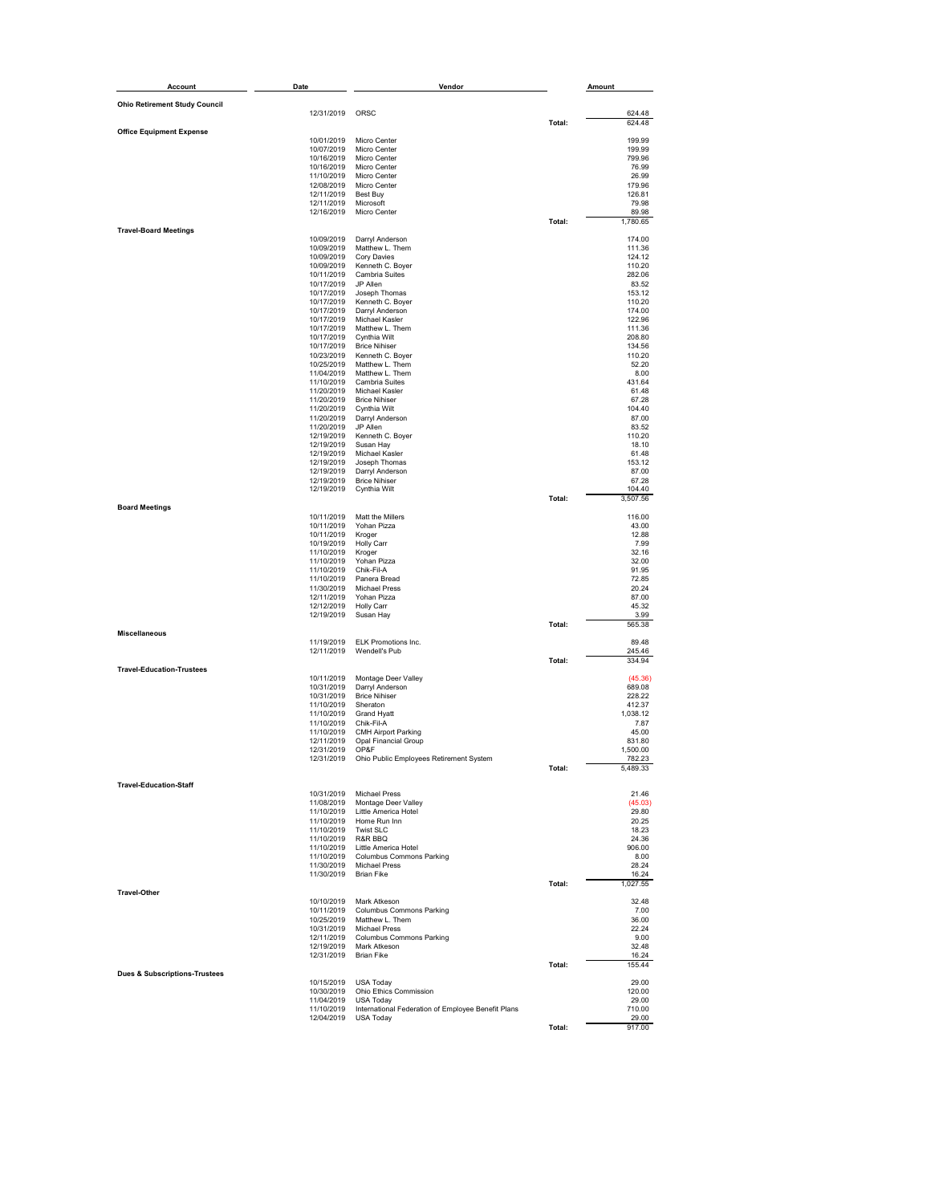| <b>Account</b>                           | Date                     | Vendor                                                          |        | Amount             |
|------------------------------------------|--------------------------|-----------------------------------------------------------------|--------|--------------------|
| <b>Ohio Retirement Study Council</b>     |                          |                                                                 |        |                    |
|                                          | 12/31/2019               | ORSC                                                            |        | 624.48             |
| <b>Office Equipment Expense</b>          |                          |                                                                 | Total: | 624.48             |
|                                          | 10/01/2019               | Micro Center                                                    |        | 199.99             |
|                                          | 10/07/2019<br>10/16/2019 | Micro Center<br>Micro Center                                    |        | 199.99<br>799.96   |
|                                          | 10/16/2019               | Micro Center                                                    |        | 76.99              |
|                                          | 11/10/2019               | Micro Center                                                    |        | 26.99              |
|                                          | 12/08/2019<br>12/11/2019 | Micro Center<br>Best Buy                                        |        | 179.96<br>126.81   |
|                                          | 12/11/2019               | Microsoft                                                       |        | 79.98              |
|                                          | 12/16/2019               | Micro Center                                                    |        | 89.98              |
| <b>Travel-Board Meetings</b>             |                          |                                                                 | Total: | 1,780.65           |
|                                          | 10/09/2019               | Darryl Anderson                                                 |        | 174.00             |
|                                          | 10/09/2019<br>10/09/2019 | Matthew L. Them<br>Cory Davies                                  |        | 111.36<br>124.12   |
|                                          | 10/09/2019               | Kenneth C. Boyer                                                |        | 110.20             |
|                                          | 10/11/2019               | Cambria Suites                                                  |        | 282.06             |
|                                          | 10/17/2019<br>10/17/2019 | JP Allen<br>Joseph Thomas                                       |        | 83.52<br>153.12    |
|                                          | 10/17/2019               | Kenneth C. Boyer                                                |        | 110.20             |
|                                          | 10/17/2019               | Darryl Anderson                                                 |        | 174.00             |
|                                          | 10/17/2019<br>10/17/2019 | Michael Kasler<br>Matthew L. Them                               |        | 122.96<br>111.36   |
|                                          | 10/17/2019               | Cynthia Wilt                                                    |        | 208.80             |
|                                          | 10/17/2019               | <b>Brice Nihiser</b>                                            |        | 134.56             |
|                                          | 10/23/2019<br>10/25/2019 | Kenneth C. Boyer<br>Matthew L. Them                             |        | 110.20<br>52.20    |
|                                          | 11/04/2019               | Matthew L. Them                                                 |        | 8.00               |
|                                          | 11/10/2019               | Cambria Suites                                                  |        | 431.64             |
|                                          | 11/20/2019<br>11/20/2019 | Michael Kasler<br><b>Brice Nihiser</b>                          |        | 61.48<br>67.28     |
|                                          | 11/20/2019               | Cynthia Wilt                                                    |        | 104.40             |
|                                          | 11/20/2019               | Darryl Anderson                                                 |        | 87.00<br>83.52     |
|                                          | 11/20/2019<br>12/19/2019 | JP Allen<br>Kenneth C. Boyer                                    |        | 110.20             |
|                                          | 12/19/2019               | Susan Hay                                                       |        | 18.10              |
|                                          | 12/19/2019<br>12/19/2019 | Michael Kasler<br>Joseph Thomas                                 |        | 61.48<br>153.12    |
|                                          | 12/19/2019               | Darryl Anderson                                                 |        | 87.00              |
|                                          | 12/19/2019               | <b>Brice Nihiser</b>                                            |        | 67.28              |
|                                          | 12/19/2019               | Cynthia Wilt                                                    | Total: | 104.40<br>3,507.56 |
| <b>Board Meetings</b>                    |                          |                                                                 |        |                    |
|                                          | 10/11/2019               | Matt the Millers                                                |        | 116.00             |
|                                          | 10/11/2019<br>10/11/2019 | Yohan Pizza<br>Kroger                                           |        | 43.00<br>12.88     |
|                                          | 10/19/2019               | <b>Holly Carr</b>                                               |        | 7.99               |
|                                          | 11/10/2019               | Kroger                                                          |        | 32.16<br>32.00     |
|                                          | 11/10/2019<br>11/10/2019 | Yohan Pizza<br>Chik-Fil-A                                       |        | 91.95              |
|                                          | 11/10/2019               | Panera Bread                                                    |        | 72.85              |
|                                          | 11/30/2019<br>12/11/2019 | <b>Michael Press</b><br>Yohan Pizza                             |        | 20.24<br>87.00     |
|                                          | 12/12/2019               | <b>Holly Carr</b>                                               |        | 45.32              |
|                                          | 12/19/2019               | Susan Hay                                                       |        | 3.99               |
| <b>Miscellaneous</b>                     |                          |                                                                 | Total: | 565.38             |
|                                          | 11/19/2019               | ELK Promotions Inc.                                             |        | 89.48              |
|                                          | 12/11/2019               | Wendell's Pub                                                   |        | 245.46             |
| <b>Travel-Education-Trustees</b>         |                          |                                                                 | Total: | 334.94             |
|                                          | 10/11/2019               | Montage Deer Valley                                             |        | (45.36)            |
|                                          | 10/31/2019               | Darryl Anderson                                                 |        | 689.08             |
|                                          | 10/31/2019<br>11/10/2019 | <b>Brice Nihiser</b><br>Sheraton                                |        | 228.22<br>412.37   |
|                                          | 11/10/2019               | <b>Grand Hyatt</b>                                              |        | 1,038.12           |
|                                          | 11/10/2019<br>11/10/2019 | Chik-Fil-A<br><b>CMH Airport Parking</b>                        |        | 7.87<br>45.00      |
|                                          | 12/11/2019               | <b>Opal Financial Group</b>                                     |        | 831.80             |
|                                          | 12/31/2019               | OP&F                                                            |        | 1,500.00           |
|                                          | 12/31/2019               | Ohio Public Employees Retirement System                         | Total: | 782.23<br>5,489.33 |
|                                          |                          |                                                                 |        |                    |
| <b>Travel-Education-Staff</b>            |                          | 10/31/2019 Michael Press                                        |        |                    |
|                                          |                          | 11/08/2019 Montage Deer Valley                                  |        | 21.46<br>(45.03)   |
|                                          |                          | 11/10/2019 Little America Hotel                                 |        | 29.80              |
|                                          | 11/10/2019 Twist SLC     | 11/10/2019 Home Run Inn                                         |        | 20.25<br>18.23     |
|                                          | 11/10/2019 R&R BBQ       |                                                                 |        | 24.36              |
|                                          |                          | 11/10/2019 Little America Hotel                                 |        | 906.00             |
|                                          |                          | 11/10/2019 Columbus Commons Parking<br>11/30/2019 Michael Press |        | 8.00<br>28.24      |
|                                          | 11/30/2019 Brian Fike    |                                                                 |        | 16.24              |
|                                          |                          |                                                                 | Total: | 1,027.55           |
| <b>Travel-Other</b>                      |                          | 10/10/2019 Mark Atkeson                                         |        | 32.48              |
|                                          |                          | 10/11/2019 Columbus Commons Parking                             |        | 7.00               |
|                                          |                          | 10/25/2019 Matthew L. Them                                      |        | 36.00              |
|                                          |                          | 10/31/2019 Michael Press<br>12/11/2019 Columbus Commons Parking |        | 22.24<br>9.00      |
|                                          |                          | 12/19/2019 Mark Atkeson                                         |        | 32.48              |
|                                          | 12/31/2019               | <b>Brian Fike</b>                                               | Total: | 16.24<br>155.44    |
| <b>Dues &amp; Subscriptions-Trustees</b> |                          |                                                                 |        |                    |
|                                          |                          | 10/15/2019 USA Today                                            |        | 29.00              |
|                                          | 10/30/2019<br>11/04/2019 | Ohio Ethics Commission<br><b>USA Today</b>                      |        | 120.00<br>29.00    |
|                                          | 11/10/2019               | International Federation of Employee Benefit Plans              |        | 710.00             |
|                                          | 12/04/2019               | <b>USA Today</b>                                                |        | 29.00              |
|                                          |                          |                                                                 | Total: | 917.00             |